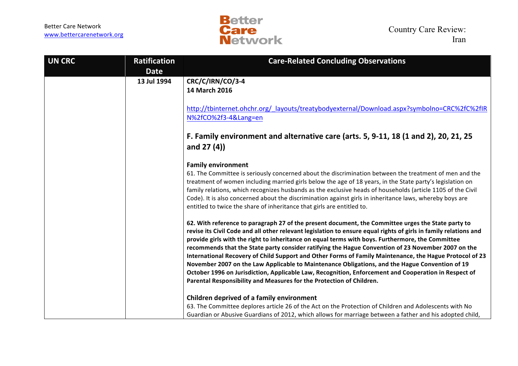

| <b>UN CRC</b> | <b>Ratification</b> | <b>Care-Related Concluding Observations</b>                                                                                                                                                                             |
|---------------|---------------------|-------------------------------------------------------------------------------------------------------------------------------------------------------------------------------------------------------------------------|
|               | <b>Date</b>         |                                                                                                                                                                                                                         |
|               | 13 Jul 1994         | CRC/C/IRN/CO/3-4                                                                                                                                                                                                        |
|               |                     | <b>14 March 2016</b>                                                                                                                                                                                                    |
|               |                     |                                                                                                                                                                                                                         |
|               |                     | http://tbinternet.ohchr.org/ layouts/treatybodyexternal/Download.aspx?symbolno=CRC%2fC%2fIR<br>N%2fCO%2f3-4⟪=en                                                                                                         |
|               |                     |                                                                                                                                                                                                                         |
|               |                     | F. Family environment and alternative care (arts. 5, 9-11, 18 (1 and 2), 20, 21, 25                                                                                                                                     |
|               |                     | and $27(4)$ )                                                                                                                                                                                                           |
|               |                     | <b>Family environment</b>                                                                                                                                                                                               |
|               |                     | 61. The Committee is seriously concerned about the discrimination between the treatment of men and the                                                                                                                  |
|               |                     | treatment of women including married girls below the age of 18 years, in the State party's legislation on                                                                                                               |
|               |                     | family relations, which recognizes husbands as the exclusive heads of households (article 1105 of the Civil<br>Code). It is also concerned about the discrimination against girls in inheritance laws, whereby boys are |
|               |                     | entitled to twice the share of inheritance that girls are entitled to.                                                                                                                                                  |
|               |                     | 62. With reference to paragraph 27 of the present document, the Committee urges the State party to                                                                                                                      |
|               |                     | revise its Civil Code and all other relevant legislation to ensure equal rights of girls in family relations and                                                                                                        |
|               |                     | provide girls with the right to inheritance on equal terms with boys. Furthermore, the Committee<br>recommends that the State party consider ratifying the Hague Convention of 23 November 2007 on the                  |
|               |                     | International Recovery of Child Support and Other Forms of Family Maintenance, the Hague Protocol of 23                                                                                                                 |
|               |                     | November 2007 on the Law Applicable to Maintenance Obligations, and the Hague Convention of 19                                                                                                                          |
|               |                     | October 1996 on Jurisdiction, Applicable Law, Recognition, Enforcement and Cooperation in Respect of                                                                                                                    |
|               |                     | Parental Responsibility and Measures for the Protection of Children.                                                                                                                                                    |
|               |                     | Children deprived of a family environment                                                                                                                                                                               |
|               |                     | 63. The Committee deplores article 26 of the Act on the Protection of Children and Adolescents with No                                                                                                                  |
|               |                     | Guardian or Abusive Guardians of 2012, which allows for marriage between a father and his adopted child,                                                                                                                |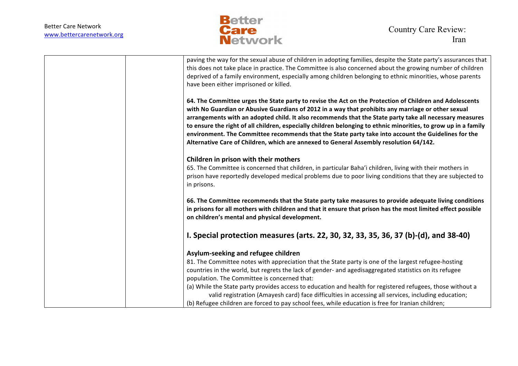

| paving the way for the sexual abuse of children in adopting families, despite the State party's assurances that<br>this does not take place in practice. The Committee is also concerned about the growing number of children<br>deprived of a family environment, especially among children belonging to ethnic minorities, whose parents<br>have been either imprisoned or killed.                                                                                                                                                                                                                                                         |
|----------------------------------------------------------------------------------------------------------------------------------------------------------------------------------------------------------------------------------------------------------------------------------------------------------------------------------------------------------------------------------------------------------------------------------------------------------------------------------------------------------------------------------------------------------------------------------------------------------------------------------------------|
| 64. The Committee urges the State party to revise the Act on the Protection of Children and Adolescents<br>with No Guardian or Abusive Guardians of 2012 in a way that prohibits any marriage or other sexual<br>arrangements with an adopted child. It also recommends that the State party take all necessary measures<br>to ensure the right of all children, especially children belonging to ethnic minorities, to grow up in a family<br>environment. The Committee recommends that the State party take into account the Guidelines for the<br>Alternative Care of Children, which are annexed to General Assembly resolution 64/142. |
| Children in prison with their mothers<br>65. The Committee is concerned that children, in particular Baha'i children, living with their mothers in<br>prison have reportedly developed medical problems due to poor living conditions that they are subjected to<br>in prisons.                                                                                                                                                                                                                                                                                                                                                              |
| 66. The Committee recommends that the State party take measures to provide adequate living conditions<br>in prisons for all mothers with children and that it ensure that prison has the most limited effect possible<br>on children's mental and physical development.                                                                                                                                                                                                                                                                                                                                                                      |
| I. Special protection measures (arts. 22, 30, 32, 33, 35, 36, 37 (b)-(d), and 38-40)                                                                                                                                                                                                                                                                                                                                                                                                                                                                                                                                                         |
| Asylum-seeking and refugee children                                                                                                                                                                                                                                                                                                                                                                                                                                                                                                                                                                                                          |
| 81. The Committee notes with appreciation that the State party is one of the largest refugee-hosting<br>countries in the world, but regrets the lack of gender- and agedisaggregated statistics on its refugee<br>population. The Committee is concerned that:                                                                                                                                                                                                                                                                                                                                                                               |
| (a) While the State party provides access to education and health for registered refugees, those without a<br>valid registration (Amayesh card) face difficulties in accessing all services, including education;<br>(b) Refugee children are forced to pay school fees, while education is free for Iranian children;                                                                                                                                                                                                                                                                                                                       |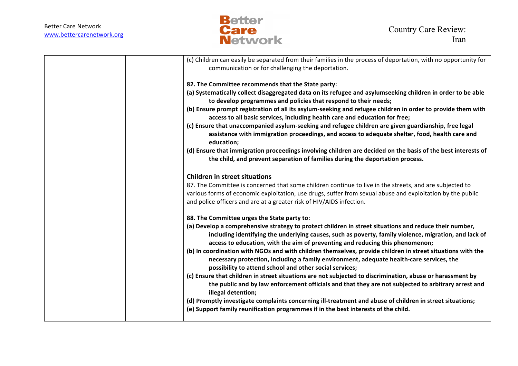

| (c) Children can easily be separated from their families in the process of deportation, with no opportunity for                                                                                                                                                                                                                                                                                                                                                                                                                                                       |
|-----------------------------------------------------------------------------------------------------------------------------------------------------------------------------------------------------------------------------------------------------------------------------------------------------------------------------------------------------------------------------------------------------------------------------------------------------------------------------------------------------------------------------------------------------------------------|
| communication or for challenging the deportation.                                                                                                                                                                                                                                                                                                                                                                                                                                                                                                                     |
| 82. The Committee recommends that the State party:                                                                                                                                                                                                                                                                                                                                                                                                                                                                                                                    |
| (a) Systematically collect disaggregated data on its refugee and asylumseeking children in order to be able<br>to develop programmes and policies that respond to their needs;                                                                                                                                                                                                                                                                                                                                                                                        |
| (b) Ensure prompt registration of all its asylum-seeking and refugee children in order to provide them with<br>access to all basic services, including health care and education for free;                                                                                                                                                                                                                                                                                                                                                                            |
| (c) Ensure that unaccompanied asylum-seeking and refugee children are given guardianship, free legal<br>assistance with immigration proceedings, and access to adequate shelter, food, health care and<br>education;                                                                                                                                                                                                                                                                                                                                                  |
| (d) Ensure that immigration proceedings involving children are decided on the basis of the best interests of<br>the child, and prevent separation of families during the deportation process.                                                                                                                                                                                                                                                                                                                                                                         |
| <b>Children in street situations</b>                                                                                                                                                                                                                                                                                                                                                                                                                                                                                                                                  |
| 87. The Committee is concerned that some children continue to live in the streets, and are subjected to<br>various forms of economic exploitation, use drugs, suffer from sexual abuse and exploitation by the public<br>and police officers and are at a greater risk of HIV/AIDS infection.                                                                                                                                                                                                                                                                         |
| 88. The Committee urges the State party to:                                                                                                                                                                                                                                                                                                                                                                                                                                                                                                                           |
| (a) Develop a comprehensive strategy to protect children in street situations and reduce their number,<br>including identifying the underlying causes, such as poverty, family violence, migration, and lack of<br>access to education, with the aim of preventing and reducing this phenomenon;<br>(b) In coordination with NGOs and with children themselves, provide children in street situations with the<br>necessary protection, including a family environment, adequate health-care services, the<br>possibility to attend school and other social services; |
| (c) Ensure that children in street situations are not subjected to discrimination, abuse or harassment by<br>the public and by law enforcement officials and that they are not subjected to arbitrary arrest and<br>illegal detention;                                                                                                                                                                                                                                                                                                                                |
| (d) Promptly investigate complaints concerning ill-treatment and abuse of children in street situations;<br>(e) Support family reunification programmes if in the best interests of the child.                                                                                                                                                                                                                                                                                                                                                                        |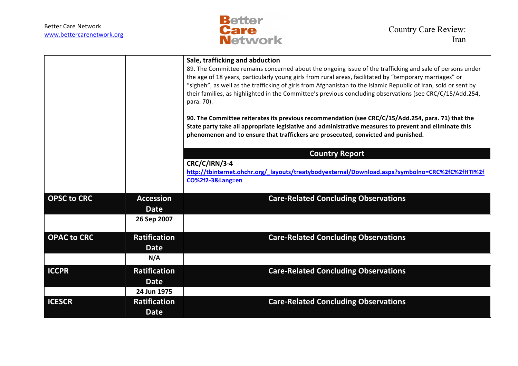

|                    |                                 | Sale, trafficking and abduction<br>89. The Committee remains concerned about the ongoing issue of the trafficking and sale of persons under<br>the age of 18 years, particularly young girls from rural areas, facilitated by "temporary marriages" or<br>"sigheh", as well as the trafficking of girls from Afghanistan to the Islamic Republic of Iran, sold or sent by<br>their families, as highlighted in the Committee's previous concluding observations (see CRC/C/15/Add.254,<br>para. 70).<br>90. The Committee reiterates its previous recommendation (see CRC/C/15/Add.254, para. 71) that the<br>State party take all appropriate legislative and administrative measures to prevent and eliminate this<br>phenomenon and to ensure that traffickers are prosecuted, convicted and punished. |
|--------------------|---------------------------------|-----------------------------------------------------------------------------------------------------------------------------------------------------------------------------------------------------------------------------------------------------------------------------------------------------------------------------------------------------------------------------------------------------------------------------------------------------------------------------------------------------------------------------------------------------------------------------------------------------------------------------------------------------------------------------------------------------------------------------------------------------------------------------------------------------------|
|                    |                                 | <b>Country Report</b>                                                                                                                                                                                                                                                                                                                                                                                                                                                                                                                                                                                                                                                                                                                                                                                     |
|                    |                                 | CRC/C/IRN/3-4<br>http://tbinternet.ohchr.org/_layouts/treatybodyexternal/Download.aspx?symbolno=CRC%2fC%2fHTI%2f<br>CO%2f2-3⟪=en                                                                                                                                                                                                                                                                                                                                                                                                                                                                                                                                                                                                                                                                          |
| <b>OPSC to CRC</b> | <b>Accession</b><br><b>Date</b> | <b>Care-Related Concluding Observations</b>                                                                                                                                                                                                                                                                                                                                                                                                                                                                                                                                                                                                                                                                                                                                                               |
|                    | 26 Sep 2007                     |                                                                                                                                                                                                                                                                                                                                                                                                                                                                                                                                                                                                                                                                                                                                                                                                           |
| <b>OPAC to CRC</b> | <b>Ratification</b>             | <b>Care-Related Concluding Observations</b>                                                                                                                                                                                                                                                                                                                                                                                                                                                                                                                                                                                                                                                                                                                                                               |
|                    | <b>Date</b>                     |                                                                                                                                                                                                                                                                                                                                                                                                                                                                                                                                                                                                                                                                                                                                                                                                           |
|                    | N/A                             |                                                                                                                                                                                                                                                                                                                                                                                                                                                                                                                                                                                                                                                                                                                                                                                                           |
| <b>ICCPR</b>       | <b>Ratification</b>             | <b>Care-Related Concluding Observations</b>                                                                                                                                                                                                                                                                                                                                                                                                                                                                                                                                                                                                                                                                                                                                                               |
|                    | <b>Date</b>                     |                                                                                                                                                                                                                                                                                                                                                                                                                                                                                                                                                                                                                                                                                                                                                                                                           |
|                    | 24 Jun 1975                     |                                                                                                                                                                                                                                                                                                                                                                                                                                                                                                                                                                                                                                                                                                                                                                                                           |
| <b>ICESCR</b>      | <b>Ratification</b>             | <b>Care-Related Concluding Observations</b>                                                                                                                                                                                                                                                                                                                                                                                                                                                                                                                                                                                                                                                                                                                                                               |
|                    | <b>Date</b>                     |                                                                                                                                                                                                                                                                                                                                                                                                                                                                                                                                                                                                                                                                                                                                                                                                           |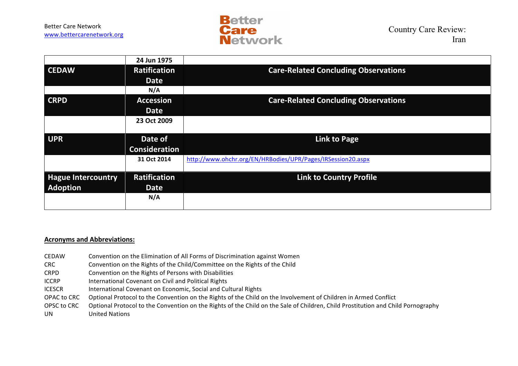

|                           | 24 Jun 1975          |                                                             |
|---------------------------|----------------------|-------------------------------------------------------------|
| <b>CEDAW</b>              | <b>Ratification</b>  | <b>Care-Related Concluding Observations</b>                 |
|                           | <b>Date</b>          |                                                             |
|                           | N/A                  |                                                             |
| <b>CRPD</b>               | <b>Accession</b>     | <b>Care-Related Concluding Observations</b>                 |
|                           | <b>Date</b>          |                                                             |
|                           | 23 Oct 2009          |                                                             |
|                           |                      |                                                             |
|                           |                      |                                                             |
| <b>UPR</b>                | Date of              | <b>Link to Page</b>                                         |
|                           | <b>Consideration</b> |                                                             |
|                           | 31 Oct 2014          | http://www.ohchr.org/EN/HRBodies/UPR/Pages/IRSession20.aspx |
|                           |                      |                                                             |
| <b>Hague Intercountry</b> | <b>Ratification</b>  | <b>Link to Country Profile</b>                              |
| <b>Adoption</b>           | <b>Date</b>          |                                                             |
|                           | N/A                  |                                                             |

## **Acronyms and Abbreviations:**

- CEDAW Convention on the Elimination of All Forms of Discrimination against Women
- CRC Convention on the Rights of the Child/Committee on the Rights of the Child
- CRPD Convention on the Rights of Persons with Disabilities
- ICCRP International Covenant on Civil and Political Rights
- ICESCR International Covenant on Economic, Social and Cultural Rights
- OPAC to CRC Optional Protocol to the Convention on the Rights of the Child on the Involvement of Children in Armed Conflict
- OPSC to CRC Optional Protocol to the Convention on the Rights of the Child on the Sale of Children, Child Prostitution and Child Pornography
- UN United Nations